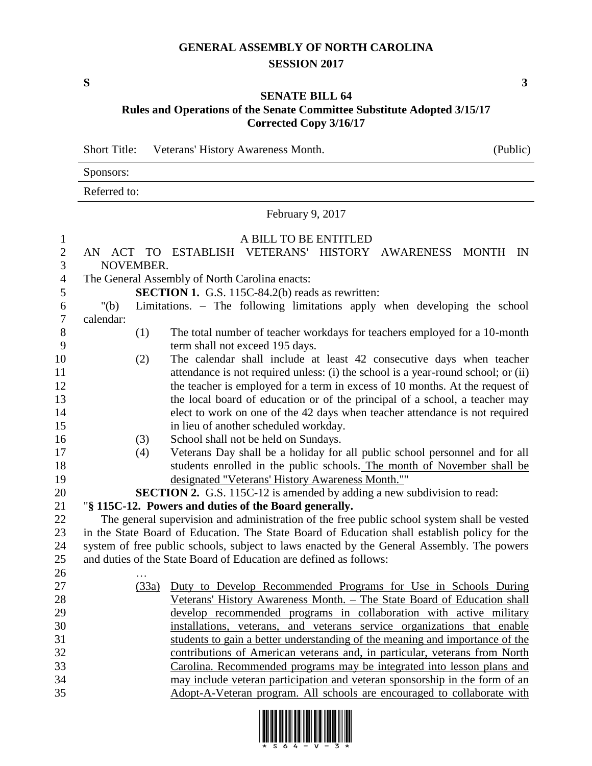## **GENERAL ASSEMBLY OF NORTH CAROLINA SESSION 2017**

**S 3**

## **SENATE BILL 64 Rules and Operations of the Senate Committee Substitute Adopted 3/15/17 Corrected Copy 3/16/17**

Short Title: Veterans' History Awareness Month. (Public)

| Sponsors:    |  |  |
|--------------|--|--|
| Referred to: |  |  |

February 9, 2017

## 1 A BILL TO BE ENTITLED

| $\mathbf{2}$     | AN ACT TO ESTABLISH VETERANS' HISTORY AWARENESS MONTH IN                                     |  |  |  |  |  |  |
|------------------|----------------------------------------------------------------------------------------------|--|--|--|--|--|--|
| 3                | NOVEMBER.                                                                                    |  |  |  |  |  |  |
| $\overline{4}$   | The General Assembly of North Carolina enacts:                                               |  |  |  |  |  |  |
| $\mathfrak{S}$   | <b>SECTION 1.</b> G.S. 115C-84.2(b) reads as rewritten:                                      |  |  |  |  |  |  |
| 6                | Limitations. - The following limitations apply when developing the school<br>" $(b)$         |  |  |  |  |  |  |
| $\boldsymbol{7}$ | calendar:                                                                                    |  |  |  |  |  |  |
| 8                | (1)<br>The total number of teacher workdays for teachers employed for a 10-month             |  |  |  |  |  |  |
| 9                | term shall not exceed 195 days.                                                              |  |  |  |  |  |  |
| 10               | The calendar shall include at least 42 consecutive days when teacher<br>(2)                  |  |  |  |  |  |  |
| 11               | attendance is not required unless: (i) the school is a year-round school; or (ii)            |  |  |  |  |  |  |
| 12               | the teacher is employed for a term in excess of 10 months. At the request of                 |  |  |  |  |  |  |
| 13               | the local board of education or of the principal of a school, a teacher may                  |  |  |  |  |  |  |
| 14               | elect to work on one of the 42 days when teacher attendance is not required                  |  |  |  |  |  |  |
| 15               | in lieu of another scheduled workday.                                                        |  |  |  |  |  |  |
| 16               | School shall not be held on Sundays.<br>(3)                                                  |  |  |  |  |  |  |
| 17               | Veterans Day shall be a holiday for all public school personnel and for all<br>(4)           |  |  |  |  |  |  |
| 18               | students enrolled in the public schools. The month of November shall be                      |  |  |  |  |  |  |
| 19               | designated "Veterans' History Awareness Month.""                                             |  |  |  |  |  |  |
| 20               | <b>SECTION 2.</b> G.S. 115C-12 is amended by adding a new subdivision to read:               |  |  |  |  |  |  |
| 21               | "§ 115C-12. Powers and duties of the Board generally.                                        |  |  |  |  |  |  |
| 22               | The general supervision and administration of the free public school system shall be vested  |  |  |  |  |  |  |
| 23               | in the State Board of Education. The State Board of Education shall establish policy for the |  |  |  |  |  |  |
| 24               | system of free public schools, subject to laws enacted by the General Assembly. The powers   |  |  |  |  |  |  |
| 25               | and duties of the State Board of Education are defined as follows:                           |  |  |  |  |  |  |
| 26               |                                                                                              |  |  |  |  |  |  |
| 27               | Duty to Develop Recommended Programs for Use in Schools During<br>(33a)                      |  |  |  |  |  |  |
| 28               | Veterans' History Awareness Month. - The State Board of Education shall                      |  |  |  |  |  |  |
| 29               | develop recommended programs in collaboration with active military                           |  |  |  |  |  |  |
| 30               | installations, veterans, and veterans service organizations that enable                      |  |  |  |  |  |  |
| 31               | students to gain a better understanding of the meaning and importance of the                 |  |  |  |  |  |  |
| 32               | contributions of American veterans and, in particular, veterans from North                   |  |  |  |  |  |  |
| 33               | Carolina. Recommended programs may be integrated into lesson plans and                       |  |  |  |  |  |  |
| 34<br>35         | may include veteran participation and veteran sponsorship in the form of an                  |  |  |  |  |  |  |
|                  | Adopt-A-Veteran program. All schools are encouraged to collaborate with                      |  |  |  |  |  |  |